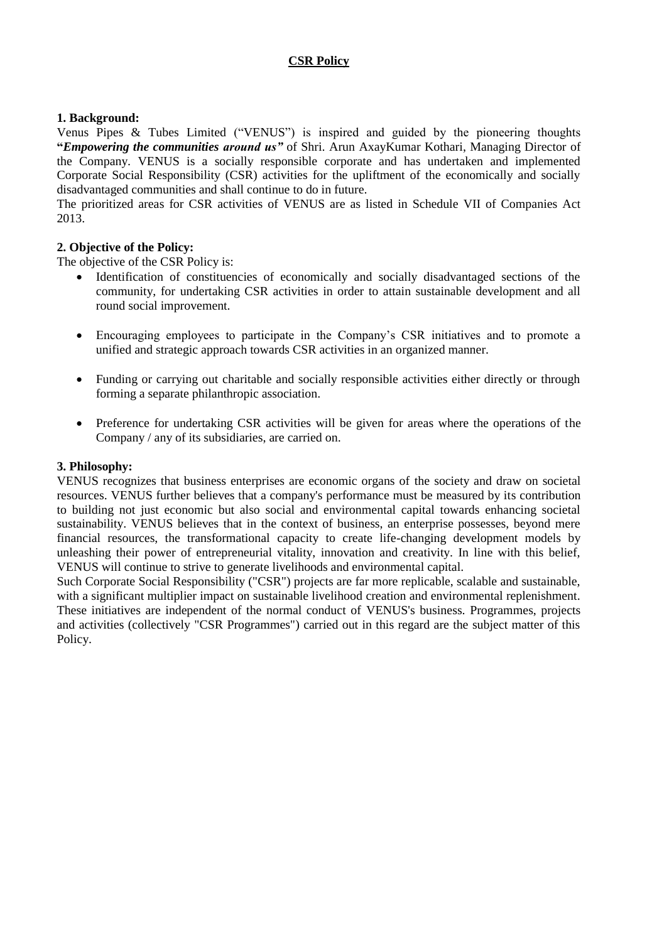# **CSR Policy**

# **1. Background:**

Venus Pipes & Tubes Limited ("VENUS") is inspired and guided by the pioneering thoughts **"***Empowering the communities around us"* of Shri. Arun AxayKumar Kothari, Managing Director of the Company. VENUS is a socially responsible corporate and has undertaken and implemented Corporate Social Responsibility (CSR) activities for the upliftment of the economically and socially disadvantaged communities and shall continue to do in future.

The prioritized areas for CSR activities of VENUS are as listed in Schedule VII of Companies Act 2013.

### **2. Objective of the Policy:**

The objective of the CSR Policy is:

- Identification of constituencies of economically and socially disadvantaged sections of the community, for undertaking CSR activities in order to attain sustainable development and all round social improvement.
- Encouraging employees to participate in the Company's CSR initiatives and to promote a unified and strategic approach towards CSR activities in an organized manner.
- Funding or carrying out charitable and socially responsible activities either directly or through forming a separate philanthropic association.
- Preference for undertaking CSR activities will be given for areas where the operations of the Company / any of its subsidiaries, are carried on.

#### **3. Philosophy:**

VENUS recognizes that business enterprises are economic organs of the society and draw on societal resources. VENUS further believes that a company's performance must be measured by its contribution to building not just economic but also social and environmental capital towards enhancing societal sustainability. VENUS believes that in the context of business, an enterprise possesses, beyond mere financial resources, the transformational capacity to create life-changing development models by unleashing their power of entrepreneurial vitality, innovation and creativity. In line with this belief, VENUS will continue to strive to generate livelihoods and environmental capital.

Such Corporate Social Responsibility ("CSR") projects are far more replicable, scalable and sustainable, with a significant multiplier impact on sustainable livelihood creation and environmental replenishment. These initiatives are independent of the normal conduct of VENUS's business. Programmes, projects and activities (collectively "CSR Programmes") carried out in this regard are the subject matter of this Policy.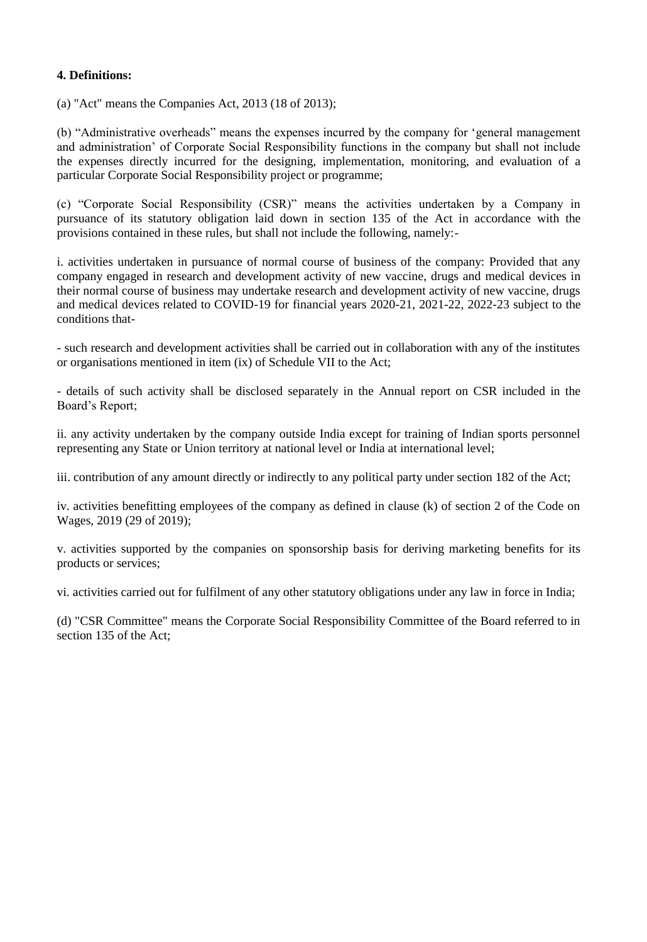# **4. Definitions:**

(a) "Act" means the Companies Act, 2013 (18 of 2013);

(b) "Administrative overheads" means the expenses incurred by the company for 'general management and administration' of Corporate Social Responsibility functions in the company but shall not include the expenses directly incurred for the designing, implementation, monitoring, and evaluation of a particular Corporate Social Responsibility project or programme;

(c) "Corporate Social Responsibility (CSR)" means the activities undertaken by a Company in pursuance of its statutory obligation laid down in section 135 of the Act in accordance with the provisions contained in these rules, but shall not include the following, namely:-

i. activities undertaken in pursuance of normal course of business of the company: Provided that any company engaged in research and development activity of new vaccine, drugs and medical devices in their normal course of business may undertake research and development activity of new vaccine, drugs and medical devices related to COVID-19 for financial years 2020-21, 2021-22, 2022-23 subject to the conditions that-

- such research and development activities shall be carried out in collaboration with any of the institutes or organisations mentioned in item (ix) of Schedule VII to the Act;

- details of such activity shall be disclosed separately in the Annual report on CSR included in the Board's Report;

ii. any activity undertaken by the company outside India except for training of Indian sports personnel representing any State or Union territory at national level or India at international level;

iii. contribution of any amount directly or indirectly to any political party under section 182 of the Act;

iv. activities benefitting employees of the company as defined in clause (k) of section 2 of the Code on Wages, 2019 (29 of 2019);

v. activities supported by the companies on sponsorship basis for deriving marketing benefits for its products or services;

vi. activities carried out for fulfilment of any other statutory obligations under any law in force in India;

(d) "CSR Committee" means the Corporate Social Responsibility Committee of the Board referred to in section 135 of the Act;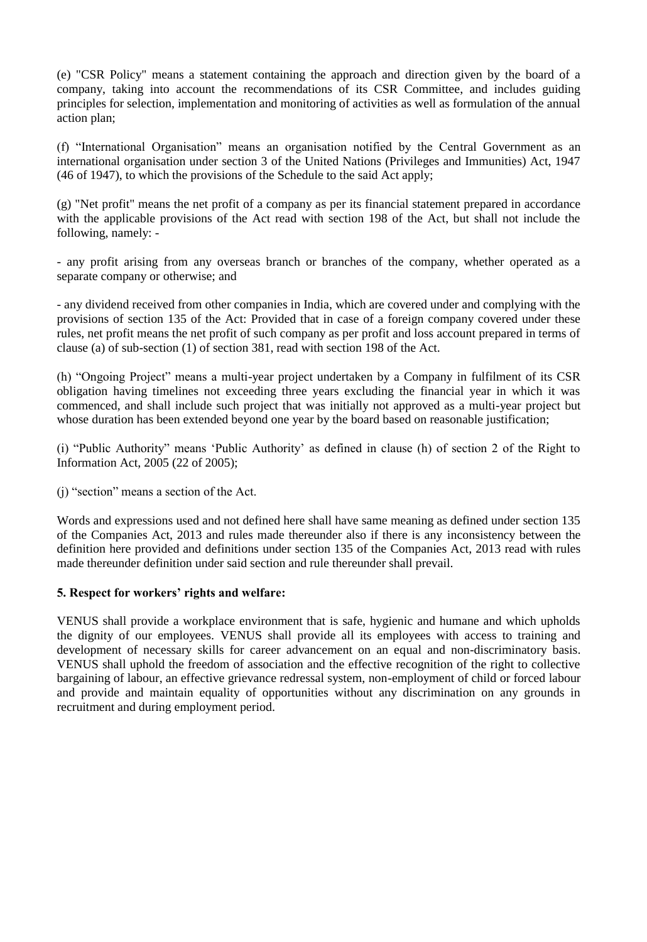(e) "CSR Policy" means a statement containing the approach and direction given by the board of a company, taking into account the recommendations of its CSR Committee, and includes guiding principles for selection, implementation and monitoring of activities as well as formulation of the annual action plan;

(f) "International Organisation" means an organisation notified by the Central Government as an international organisation under section 3 of the United Nations (Privileges and Immunities) Act, 1947 (46 of 1947), to which the provisions of the Schedule to the said Act apply;

(g) "Net profit" means the net profit of a company as per its financial statement prepared in accordance with the applicable provisions of the Act read with section 198 of the Act, but shall not include the following, namely: -

- any profit arising from any overseas branch or branches of the company, whether operated as a separate company or otherwise; and

- any dividend received from other companies in India, which are covered under and complying with the provisions of section 135 of the Act: Provided that in case of a foreign company covered under these rules, net profit means the net profit of such company as per profit and loss account prepared in terms of clause (a) of sub-section (1) of section 381, read with section 198 of the Act.

(h) "Ongoing Project" means a multi-year project undertaken by a Company in fulfilment of its CSR obligation having timelines not exceeding three years excluding the financial year in which it was commenced, and shall include such project that was initially not approved as a multi-year project but whose duration has been extended beyond one year by the board based on reasonable justification;

(i) "Public Authority" means 'Public Authority' as defined in clause (h) of section 2 of the Right to Information Act, 2005 (22 of 2005);

(j) "section" means a section of the Act.

Words and expressions used and not defined here shall have same meaning as defined under section 135 of the Companies Act, 2013 and rules made thereunder also if there is any inconsistency between the definition here provided and definitions under section 135 of the Companies Act, 2013 read with rules made thereunder definition under said section and rule thereunder shall prevail.

# **5. Respect for workers' rights and welfare:**

VENUS shall provide a workplace environment that is safe, hygienic and humane and which upholds the dignity of our employees. VENUS shall provide all its employees with access to training and development of necessary skills for career advancement on an equal and non-discriminatory basis. VENUS shall uphold the freedom of association and the effective recognition of the right to collective bargaining of labour, an effective grievance redressal system, non-employment of child or forced labour and provide and maintain equality of opportunities without any discrimination on any grounds in recruitment and during employment period.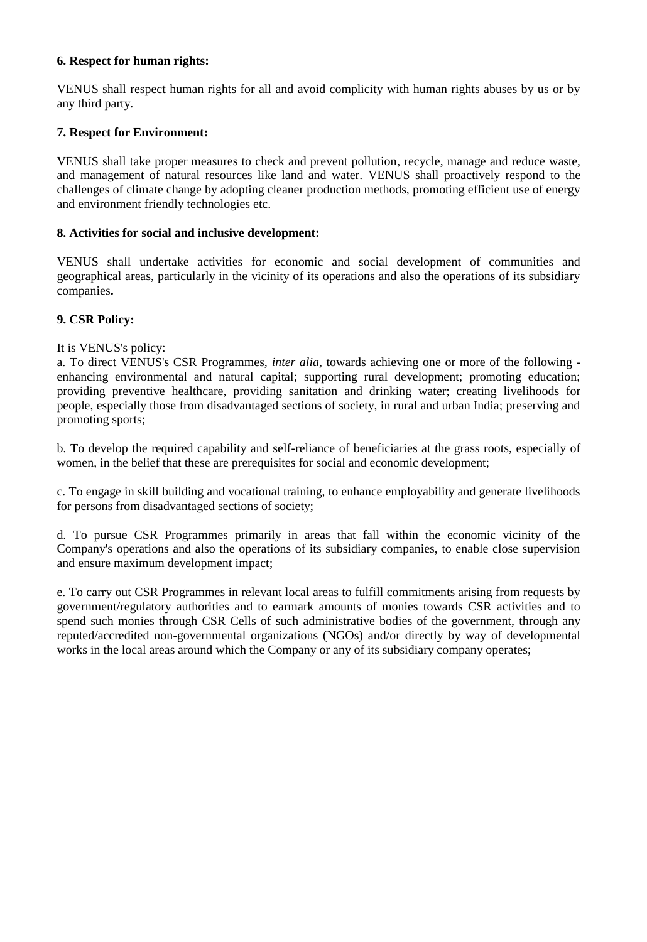### **6. Respect for human rights:**

VENUS shall respect human rights for all and avoid complicity with human rights abuses by us or by any third party.

## **7. Respect for Environment:**

VENUS shall take proper measures to check and prevent pollution, recycle, manage and reduce waste, and management of natural resources like land and water. VENUS shall proactively respond to the challenges of climate change by adopting cleaner production methods, promoting efficient use of energy and environment friendly technologies etc.

### **8. Activities for social and inclusive development:**

VENUS shall undertake activities for economic and social development of communities and geographical areas, particularly in the vicinity of its operations and also the operations of its subsidiary companies**.** 

### **9. CSR Policy:**

### It is VENUS's policy:

a. To direct VENUS's CSR Programmes, *inter alia*, towards achieving one or more of the following enhancing environmental and natural capital; supporting rural development; promoting education; providing preventive healthcare, providing sanitation and drinking water; creating livelihoods for people, especially those from disadvantaged sections of society, in rural and urban India; preserving and promoting sports;

b. To develop the required capability and self-reliance of beneficiaries at the grass roots, especially of women, in the belief that these are prerequisites for social and economic development;

c. To engage in skill building and vocational training, to enhance employability and generate livelihoods for persons from disadvantaged sections of society;

d. To pursue CSR Programmes primarily in areas that fall within the economic vicinity of the Company's operations and also the operations of its subsidiary companies, to enable close supervision and ensure maximum development impact;

e. To carry out CSR Programmes in relevant local areas to fulfill commitments arising from requests by government/regulatory authorities and to earmark amounts of monies towards CSR activities and to spend such monies through CSR Cells of such administrative bodies of the government, through any reputed/accredited non-governmental organizations (NGOs) and/or directly by way of developmental works in the local areas around which the Company or any of its subsidiary company operates;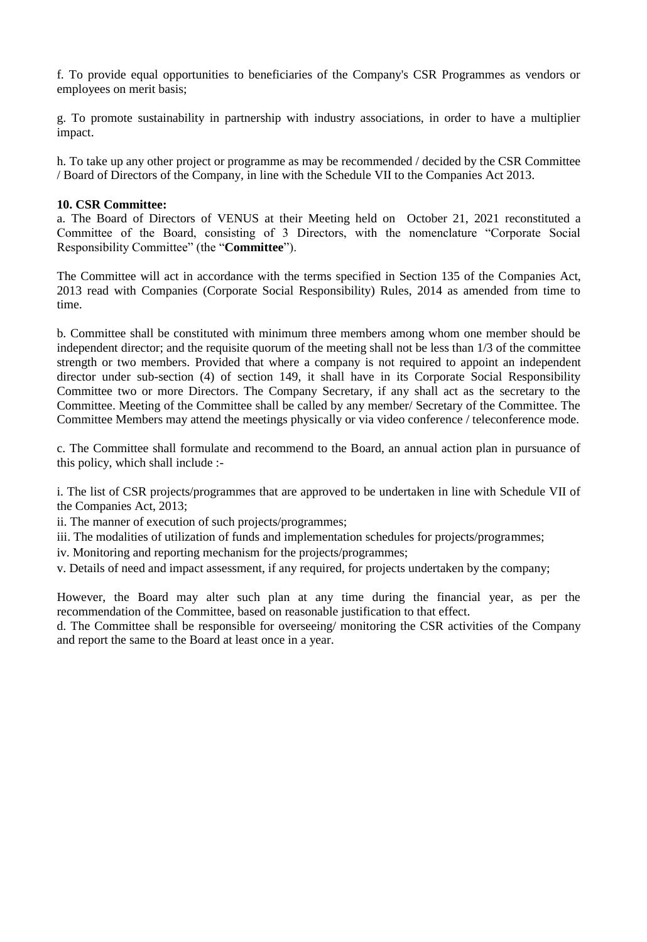f. To provide equal opportunities to beneficiaries of the Company's CSR Programmes as vendors or employees on merit basis;

g. To promote sustainability in partnership with industry associations, in order to have a multiplier impact.

h. To take up any other project or programme as may be recommended / decided by the CSR Committee / Board of Directors of the Company, in line with the Schedule VII to the Companies Act 2013.

#### **10. CSR Committee:**

a. The Board of Directors of VENUS at their Meeting held on October 21, 2021 reconstituted a Committee of the Board, consisting of 3 Directors, with the nomenclature "Corporate Social Responsibility Committee" (the "**Committee**").

The Committee will act in accordance with the terms specified in Section 135 of the Companies Act, 2013 read with Companies (Corporate Social Responsibility) Rules, 2014 as amended from time to time.

b. Committee shall be constituted with minimum three members among whom one member should be independent director; and the requisite quorum of the meeting shall not be less than 1/3 of the committee strength or two members. Provided that where a company is not required to appoint an independent director under sub-section (4) of section 149, it shall have in its Corporate Social Responsibility Committee two or more Directors. The Company Secretary, if any shall act as the secretary to the Committee. Meeting of the Committee shall be called by any member/ Secretary of the Committee. The Committee Members may attend the meetings physically or via video conference / teleconference mode.

c. The Committee shall formulate and recommend to the Board, an annual action plan in pursuance of this policy, which shall include :-

i. The list of CSR projects/programmes that are approved to be undertaken in line with Schedule VII of the Companies Act, 2013;

ii. The manner of execution of such projects/programmes;

iii. The modalities of utilization of funds and implementation schedules for projects/programmes;

iv. Monitoring and reporting mechanism for the projects/programmes;

v. Details of need and impact assessment, if any required, for projects undertaken by the company;

However, the Board may alter such plan at any time during the financial year, as per the recommendation of the Committee, based on reasonable justification to that effect.

d. The Committee shall be responsible for overseeing/ monitoring the CSR activities of the Company and report the same to the Board at least once in a year.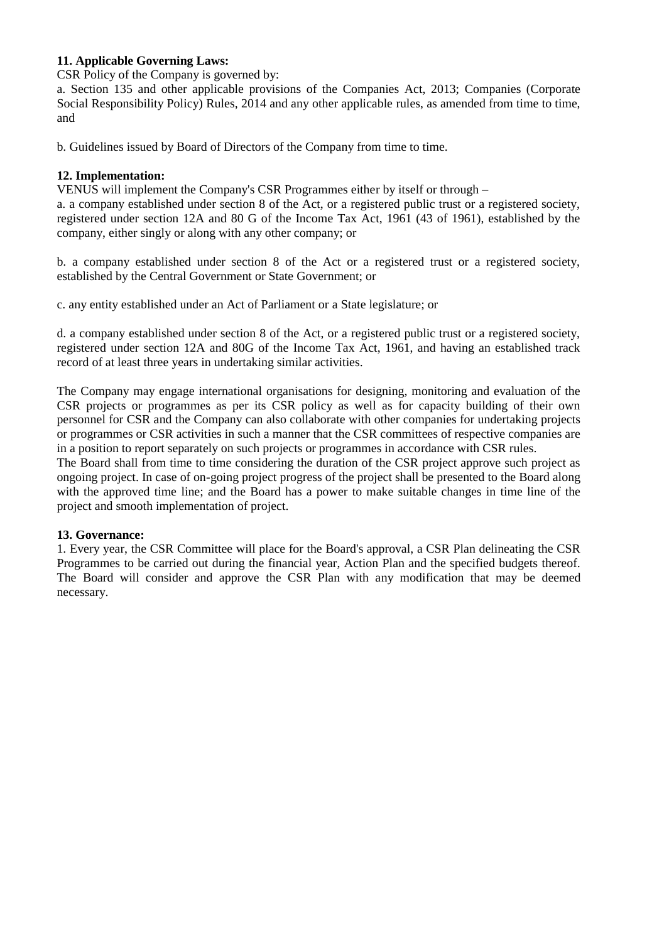# **11. Applicable Governing Laws:**

CSR Policy of the Company is governed by:

a. Section 135 and other applicable provisions of the Companies Act, 2013; Companies (Corporate Social Responsibility Policy) Rules, 2014 and any other applicable rules, as amended from time to time, and

b. Guidelines issued by Board of Directors of the Company from time to time.

#### **12. Implementation:**

VENUS will implement the Company's CSR Programmes either by itself or through –

a. a company established under section 8 of the Act, or a registered public trust or a registered society, registered under section 12A and 80 G of the Income Tax Act, 1961 (43 of 1961), established by the company, either singly or along with any other company; or

b. a company established under section 8 of the Act or a registered trust or a registered society, established by the Central Government or State Government; or

c. any entity established under an Act of Parliament or a State legislature; or

d. a company established under section 8 of the Act, or a registered public trust or a registered society, registered under section 12A and 80G of the Income Tax Act, 1961, and having an established track record of at least three years in undertaking similar activities.

The Company may engage international organisations for designing, monitoring and evaluation of the CSR projects or programmes as per its CSR policy as well as for capacity building of their own personnel for CSR and the Company can also collaborate with other companies for undertaking projects or programmes or CSR activities in such a manner that the CSR committees of respective companies are in a position to report separately on such projects or programmes in accordance with CSR rules.

The Board shall from time to time considering the duration of the CSR project approve such project as ongoing project. In case of on-going project progress of the project shall be presented to the Board along with the approved time line; and the Board has a power to make suitable changes in time line of the project and smooth implementation of project.

# **13. Governance:**

1. Every year, the CSR Committee will place for the Board's approval, a CSR Plan delineating the CSR Programmes to be carried out during the financial year, Action Plan and the specified budgets thereof. The Board will consider and approve the CSR Plan with any modification that may be deemed necessary.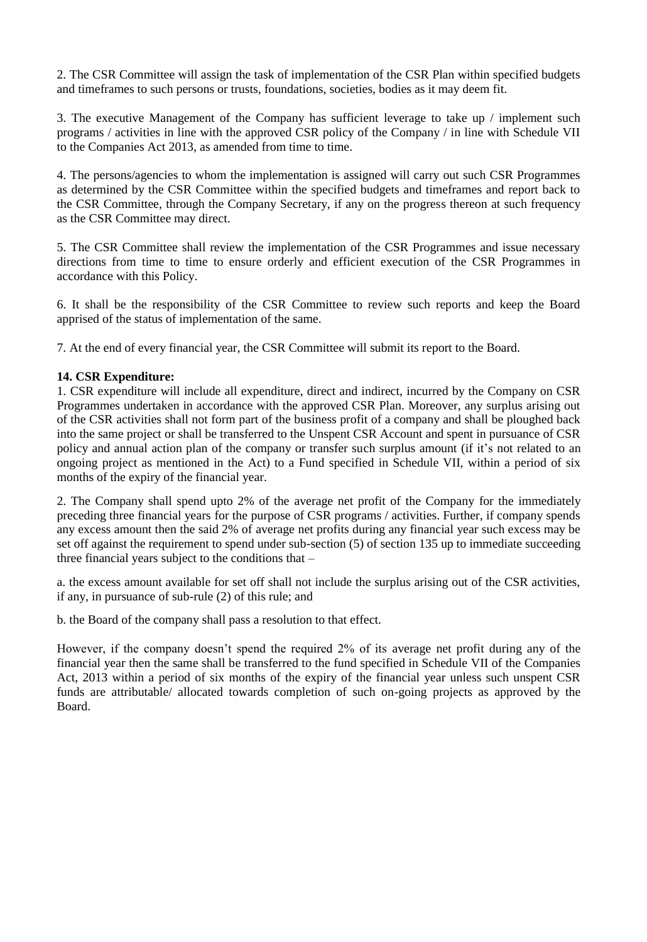2. The CSR Committee will assign the task of implementation of the CSR Plan within specified budgets and timeframes to such persons or trusts, foundations, societies, bodies as it may deem fit.

3. The executive Management of the Company has sufficient leverage to take up / implement such programs / activities in line with the approved CSR policy of the Company / in line with Schedule VII to the Companies Act 2013, as amended from time to time.

4. The persons/agencies to whom the implementation is assigned will carry out such CSR Programmes as determined by the CSR Committee within the specified budgets and timeframes and report back to the CSR Committee, through the Company Secretary, if any on the progress thereon at such frequency as the CSR Committee may direct.

5. The CSR Committee shall review the implementation of the CSR Programmes and issue necessary directions from time to time to ensure orderly and efficient execution of the CSR Programmes in accordance with this Policy.

6. It shall be the responsibility of the CSR Committee to review such reports and keep the Board apprised of the status of implementation of the same.

7. At the end of every financial year, the CSR Committee will submit its report to the Board.

### **14. CSR Expenditure:**

1. CSR expenditure will include all expenditure, direct and indirect, incurred by the Company on CSR Programmes undertaken in accordance with the approved CSR Plan. Moreover, any surplus arising out of the CSR activities shall not form part of the business profit of a company and shall be ploughed back into the same project or shall be transferred to the Unspent CSR Account and spent in pursuance of CSR policy and annual action plan of the company or transfer such surplus amount (if it's not related to an ongoing project as mentioned in the Act) to a Fund specified in Schedule VII, within a period of six months of the expiry of the financial year.

2. The Company shall spend upto 2% of the average net profit of the Company for the immediately preceding three financial years for the purpose of CSR programs / activities. Further, if company spends any excess amount then the said 2% of average net profits during any financial year such excess may be set off against the requirement to spend under sub-section (5) of section 135 up to immediate succeeding three financial years subject to the conditions that  $-$ 

a. the excess amount available for set off shall not include the surplus arising out of the CSR activities, if any, in pursuance of sub-rule (2) of this rule; and

b. the Board of the company shall pass a resolution to that effect.

However, if the company doesn't spend the required 2% of its average net profit during any of the financial year then the same shall be transferred to the fund specified in Schedule VII of the Companies Act, 2013 within a period of six months of the expiry of the financial year unless such unspent CSR funds are attributable/ allocated towards completion of such on-going projects as approved by the Board.